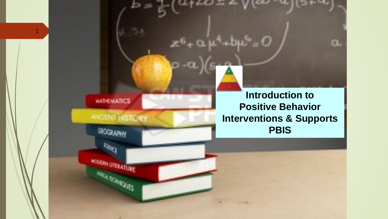

GEOGRAPHY

MODERN LITERATURE

**BORMONES** 

1

### *MADENT HISTORY*

**Introduction to Positive Behavior Interventions & Supports PBIS**

 $\bullet$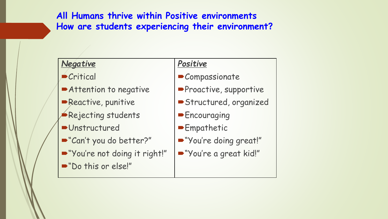**All Humans thrive within Positive environments How are students experiencing their environment?**

#### *Negative*

- Critical
- Attention to negative
- **-Reactive, punitive**
- Rejecting students
- **D**Unstructured
- "Can't you do better?"
- "You're not doing it right!"
- Do this or else!"

#### *Positive*

- **Compassionate**
- **Proactive, supportive**
- Structured, organized
- **Encouraging**
- **Empathetic**
- "You're doing great!"
- "You're a great kid!"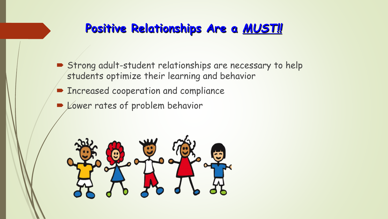## **Positive Relationships Are a** *MUST!!*

- Strong adult-student relationships are necessary to help students optimize their learning and behavior
- **Exercise Cooperation and compliance**
- De Lower rates of problem behavior

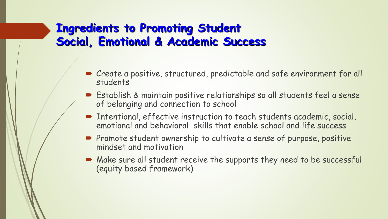## **Ingredients to Promoting Student Social, Emotional & Academic Success**

- Create a positive, structured, predictable and safe environment for all students
- Establish & maintain positive relationships so all students feel a sense of belonging and connection to school
- Intentional, effective instruction to teach students academic, social, emotional and behavioral skills that enable school and life success
- **Promote student ownership to cultivate a sense of purpose, positive** mindset and motivation
- Make sure all student receive the supports they need to be successful (equity based framework)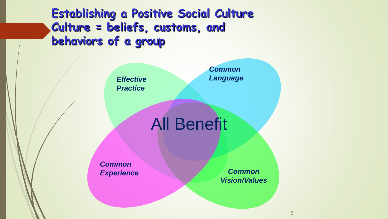**Establishing a Positive Social Culture Culture = beliefs, customs, and behaviors of a group**